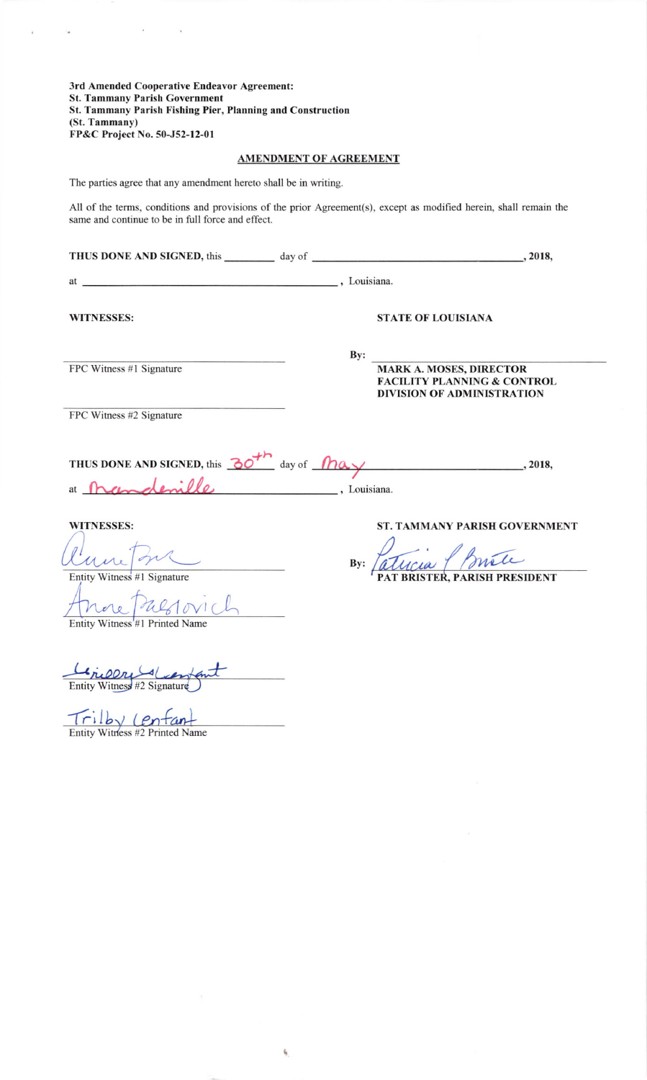3rd Amended Cooperative Endeavor Agreement: **St. Tammany Parish Government** St. Tammany Parish Fishing Pier, Planning and Construction (St. Tammany) FP&C Project No. 50-J52-12-01

 $\alpha$  , and  $\alpha$  , and  $\alpha$ 

 $\bar{z}$ 

.<br>A

# **AMENDMENT OF AGREEMENT**

The parties agree that any amendment hereto shall be in writing.

All of the terms, conditions and provisions of the prior Agreement(s), except as modified herein, shall remain the same and continue to be in full force and effect.

| <b>WITNESSES:</b>                                                                                                           |                                       |     | <b>STATE OF LOUISIANA</b>                                                                                     |
|-----------------------------------------------------------------------------------------------------------------------------|---------------------------------------|-----|---------------------------------------------------------------------------------------------------------------|
| FPC Witness #1 Signature                                                                                                    |                                       | By: | <b>MARK A. MOSES, DIRECTOR</b><br><b>FACILITY PLANNING &amp; CONTROL</b><br><b>DIVISION OF ADMINISTRATION</b> |
| FPC Witness #2 Signature<br>THUS DONE AND SIGNED, this $\frac{30^{+n}}{n}$ day of $\sqrt{n}a$ y  . 2018,<br>at $\mathbb{R}$ | $\overline{\phantom{a}}$ , Louisiana. |     |                                                                                                               |
| <b>WITNESSES:</b><br>Entity Witness #1 Signature<br>nore Palotovich<br>Entity Witness #1 Printed Name                       |                                       | By: | <b>ST. TAMMANY PARISH GOVERNMENT</b><br>STER, PARISH PRESIDENT                                                |
| Ericor den<br>Entity Witness #2 Signature<br>Entity Witness #2 Printed Name                                                 |                                       |     |                                                                                                               |

k,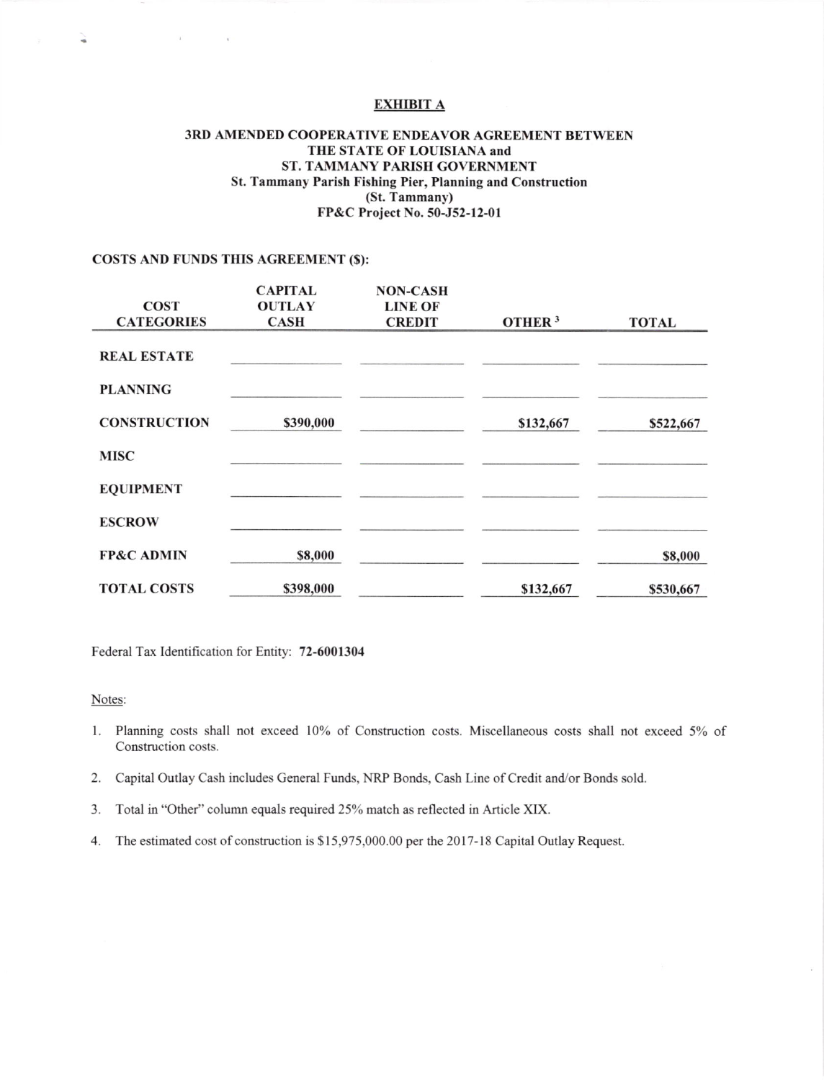#### EXHIBIT A

#### 3RD AMENDED COOPERATIVE ENDEAVOR AGREEMENT BETWEEN THE STATE OF LOUISIANA and ST. TAMMANY PARJSH GOVERNMENT St. Tammary Parish Fishing Pier, Planning and Construction (St. Tammany) FP&C Project No. 50-J52-12-01

#### COSTS AND FUNDS THIS AGREEMENT (\$):

 $\langle \cdot \rangle$ 

 $\sim$ 

|                       | <b>CAPITAL</b> | <b>NON-CASH</b> |                    |              |
|-----------------------|----------------|-----------------|--------------------|--------------|
| <b>COST</b>           | <b>OUTLAY</b>  | <b>LINE OF</b>  |                    |              |
| <b>CATEGORIES</b>     | <b>CASH</b>    | <b>CREDIT</b>   | OTHER <sup>3</sup> | <b>TOTAL</b> |
|                       |                |                 |                    |              |
| <b>REAL ESTATE</b>    |                |                 |                    |              |
|                       |                |                 |                    |              |
| <b>PLANNING</b>       |                |                 |                    |              |
| <b>CONSTRUCTION</b>   |                |                 |                    |              |
|                       | \$390,000      |                 | \$132,667          | \$522,667    |
| <b>MISC</b>           |                |                 |                    |              |
|                       |                |                 |                    |              |
| <b>EQUIPMENT</b>      |                |                 |                    |              |
|                       |                |                 |                    |              |
| <b>ESCROW</b>         |                |                 |                    |              |
|                       |                |                 |                    |              |
| <b>FP&amp;C ADMIN</b> | \$8,000        |                 |                    | \$8,000      |
|                       |                |                 |                    |              |
| <b>TOTAL COSTS</b>    | \$398,000      |                 | \$132,667          | \$530,667    |

Federal Tax Identification for Entity: 72-6001304

#### Notes:

¥

- 1. Planning costs shall not exceed 10% of Construction costs. Miscellaneous costs shall not exceed 5% of Construction costs.
- 2. Capital Outlay Cash includes General Funds, NRP Bonds, Cash Line of Credit and/or Bonds sold.
- 3. Total in "Other" column equals required 25% match as reflected in Article XIX.
- 4. The estimated cost of construction is \$ 15,975,000.00 per the 2017-18 Capital Ouday Request.